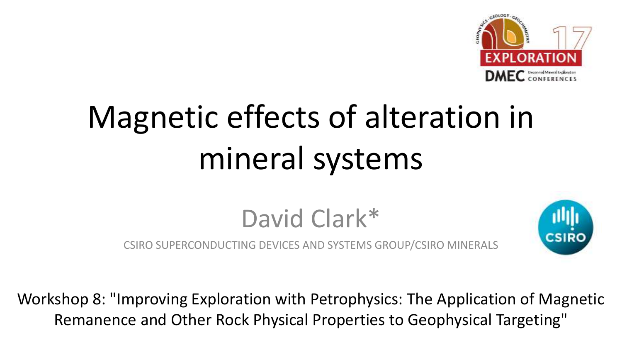

# Magnetic effects of alteration in mineral systems

David Clark\*

CSIRO SUPERCONDUCTING DEVICES AND SYSTEMS GROUP/CSIRO MINERALS



Workshop 8: "Improving Exploration with Petrophysics: The Application of Magnetic Remanence and Other Rock Physical Properties to Geophysical Targeting"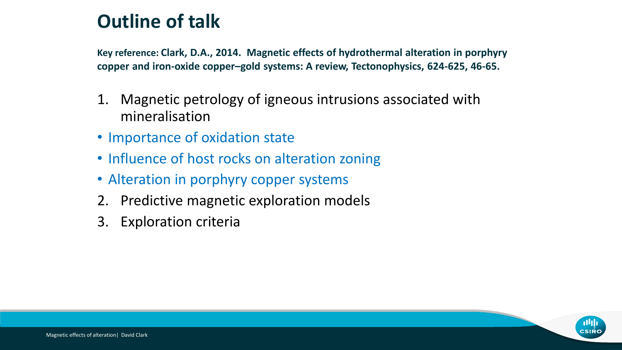### **Outline of talk**

**Key reference: Clark, D.A., 2014. Magnetic effects of hydrothermal alteration in porphyry copper and iron-oxide copper–gold systems: A review, Tectonophysics, 624-625, 46-65.**

- 1. Magnetic petrology of igneous intrusions associated with mineralisation
- Importance of oxidation state
- Influence of host rocks on alteration zoning
- Alteration in porphyry copper systems
- 2. Predictive magnetic exploration models
- 3. Exploration criteria

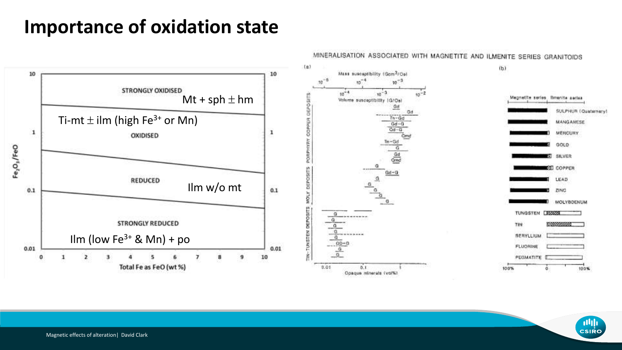### **Importance of oxidation state**



#### MINERALISATION ASSOCIATED WITH MAGNETITE AND ILMENITE SERIES GRANITOIDS

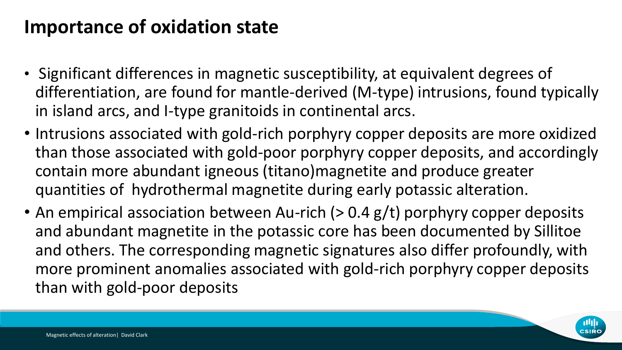### **Importance of oxidation state**

- Significant differences in magnetic susceptibility, at equivalent degrees of differentiation, are found for mantle-derived (M-type) intrusions, found typically in island arcs, and I-type granitoids in continental arcs.
- Intrusions associated with gold-rich porphyry copper deposits are more oxidized than those associated with gold-poor porphyry copper deposits, and accordingly contain more abundant igneous (titano)magnetite and produce greater quantities of hydrothermal magnetite during early potassic alteration.
- An empirical association between Au-rich (> 0.4 g/t) porphyry copper deposits and abundant magnetite in the potassic core has been documented by Sillitoe and others. The corresponding magnetic signatures also differ profoundly, with more prominent anomalies associated with gold-rich porphyry copper deposits than with gold-poor deposits

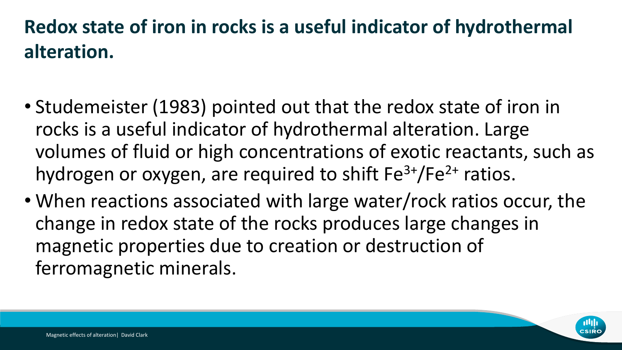### **Redox state of iron in rocks is a useful indicator of hydrothermal alteration.**

- Studemeister (1983) pointed out that the redox state of iron in rocks is a useful indicator of hydrothermal alteration. Large volumes of fluid or high concentrations of exotic reactants, such as hydrogen or oxygen, are required to shift  $Fe<sup>3+</sup>/Fe<sup>2+</sup>$  ratios.
- When reactions associated with large water/rock ratios occur, the change in redox state of the rocks produces large changes in magnetic properties due to creation or destruction of ferromagnetic minerals.

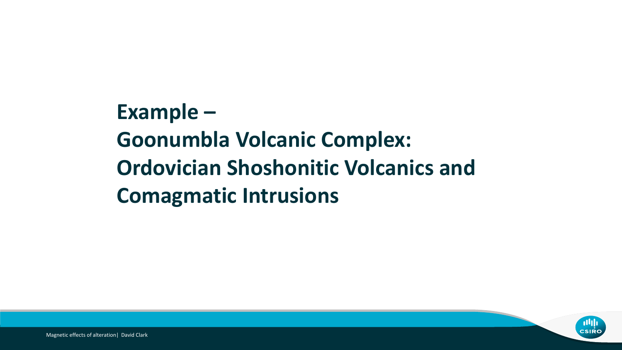**Example – Goonumbla Volcanic Complex: Ordovician Shoshonitic Volcanics and Comagmatic Intrusions**

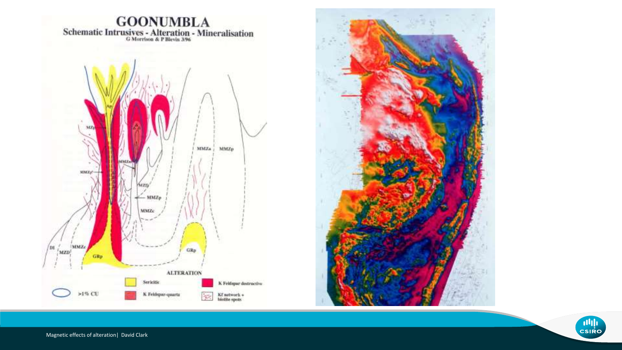



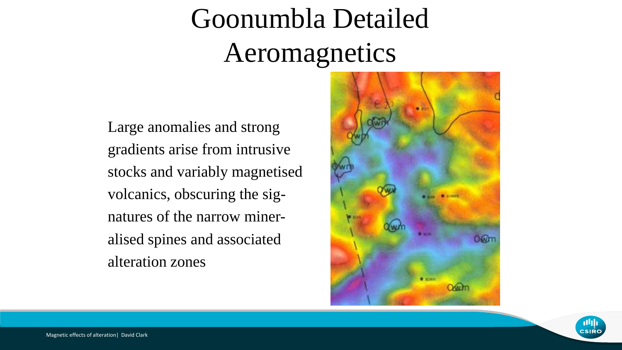## Goonumbla Detailed Aeromagnetics

Large anomalies and strong gradients arise from intrusive stocks and variably magnetised volcanics, obscuring the signatures of the narrow mineralised spines and associated alteration zones



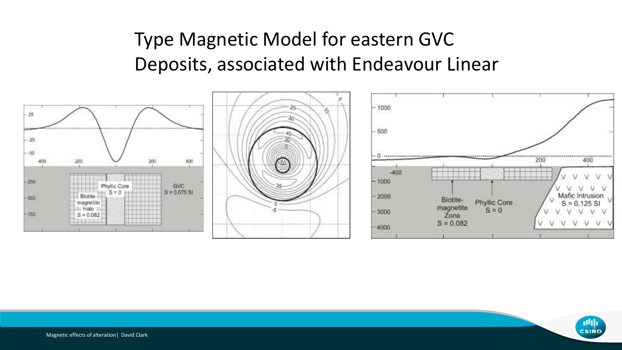### Type Magnetic Model for eastern GVC Deposits, associated with Endeavour Linear



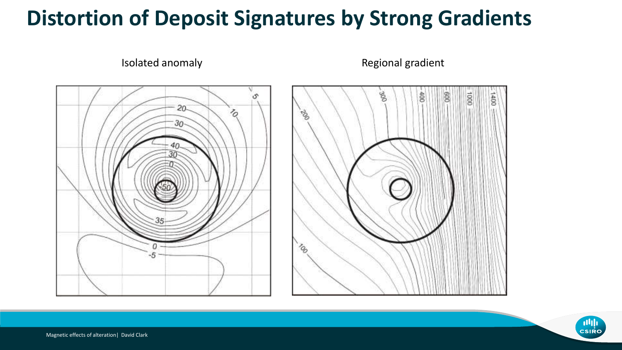### **Distortion of Deposit Signatures by Strong Gradients**



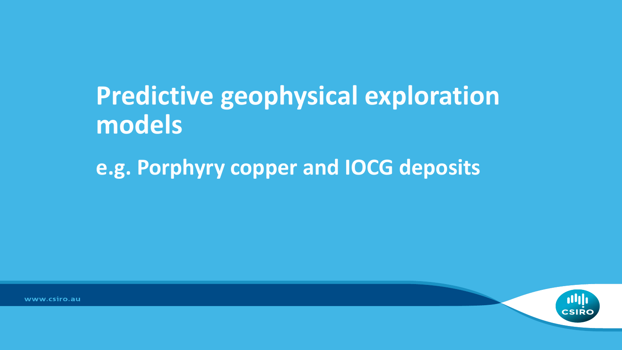## **Predictive geophysical exploration models**

**e.g. Porphyry copper and IOCG deposits**



www.csiro.au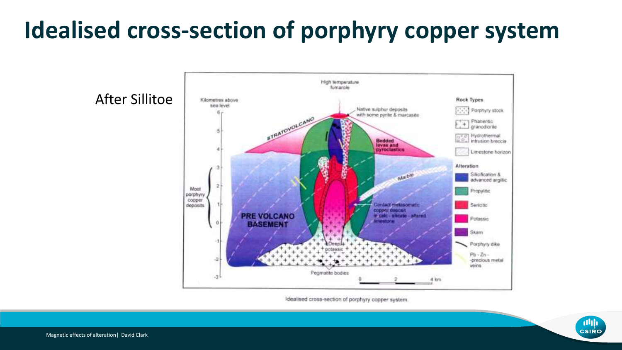### **Idealised cross-section of porphyry copper system**



Idealised cross-section of porphyry copper system.

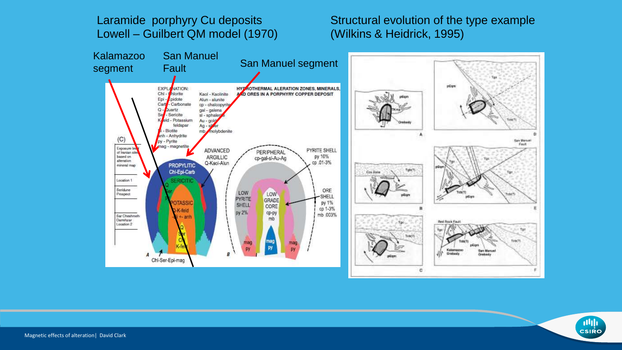#### Laramide porphyry Cu deposits Lowell – Guilbert QM model (1970)

Structural evolution of the type example (Wilkins & Heidrick, 1995)



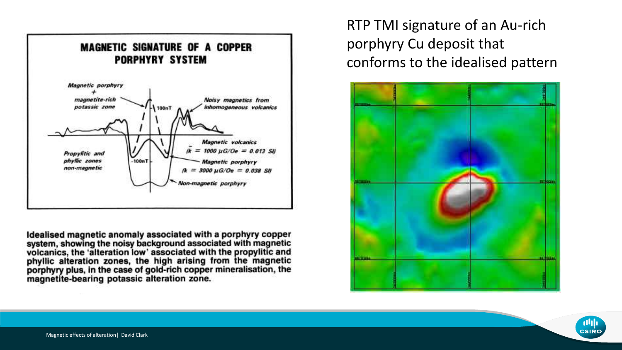

Idealised magnetic anomaly associated with a porphyry copper system, showing the noisy background associated with magnetic<br>volcanics, the 'alteration low' associated with the propylitic and<br>phyllic alteration zones, the high arising from the magnetic porphyry plus, in the case of gold-rich copper mineralisation, the magnetite-bearing potassic alteration zone.

RTP TMI signature of an Au-rich porphyry Cu deposit that conforms to the idealised pattern



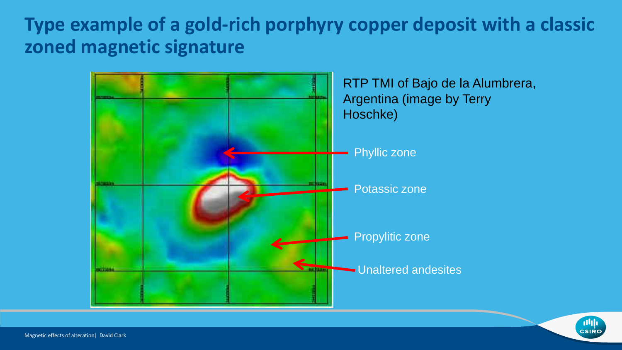### **Type example of a gold-rich porphyry copper deposit with a classic zoned magnetic signature**



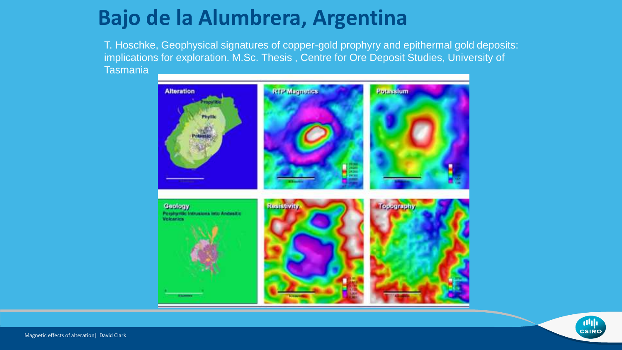### **Bajo de la Alumbrera, Argentina**

T. Hoschke, Geophysical signatures of copper-gold prophyry and epithermal gold deposits: implications for exploration. M.Sc. Thesis , Centre for Ore Deposit Studies, University of Tasmania



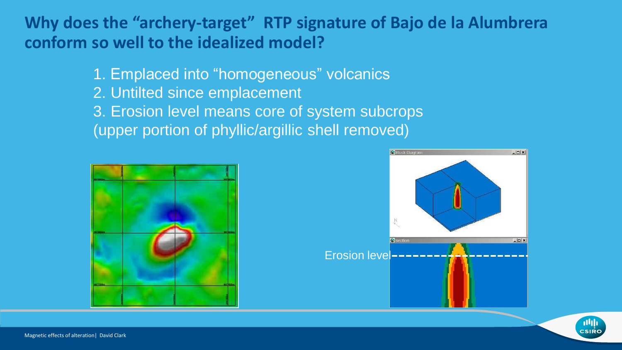### **Why does the "archery-target" RTP signature of Bajo de la Alumbrera conform so well to the idealized model?**

1. Emplaced into "homogeneous" volcanics 2. Untilted since emplacement 3. Erosion level means core of system subcrops (upper portion of phyllic/argillic shell removed)





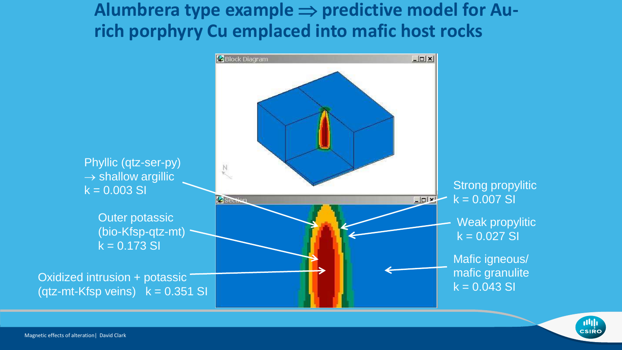### Alumbrera type example  $\Rightarrow$  predictive model for Au**rich porphyry Cu emplaced into mafic host rocks**



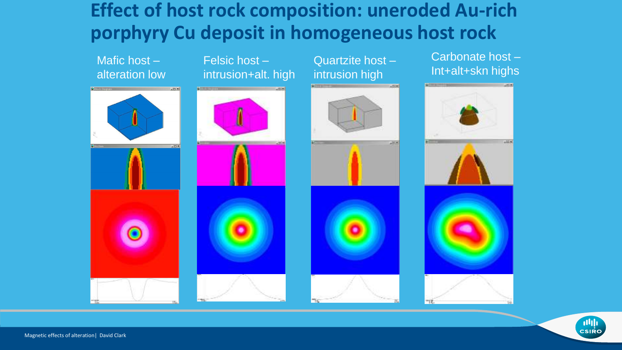### **Effect of host rock composition: uneroded Au-rich porphyry Cu deposit in homogeneous host rock**



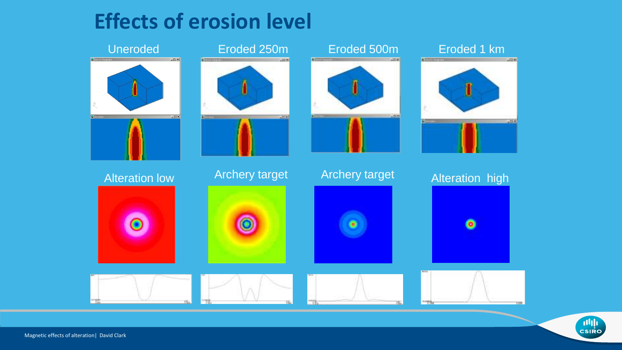### **Effects of erosion level**



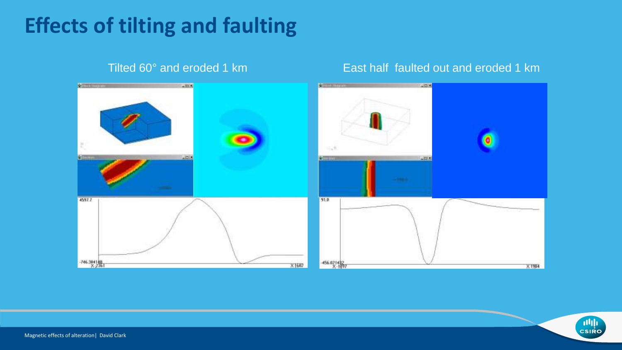### **Effects of tilting and faulting**



#### Tilted 60° and eroded 1 km East half faulted out and eroded 1 km

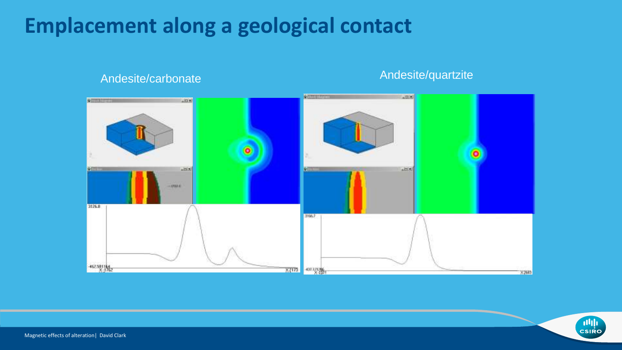### **Emplacement along a geological contact**



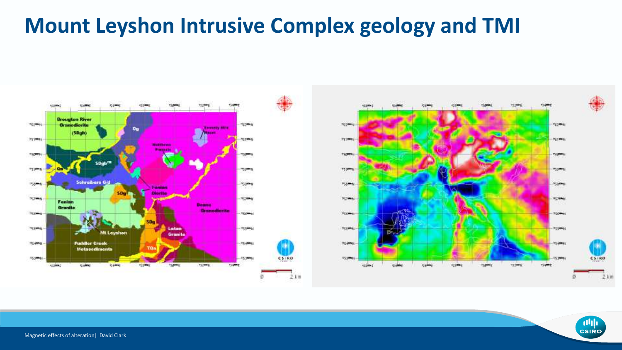### **Mount Leyshon Intrusive Complex geology and TMI**



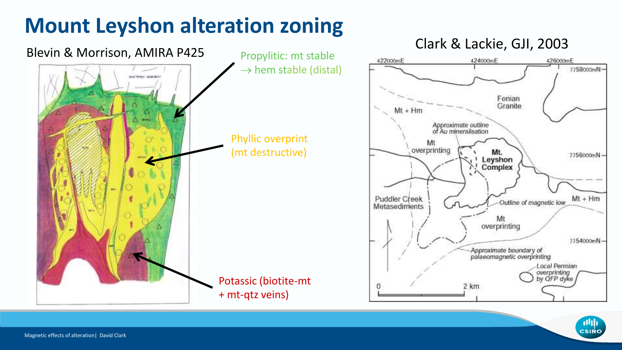### **Mount Leyshon alteration zoning**



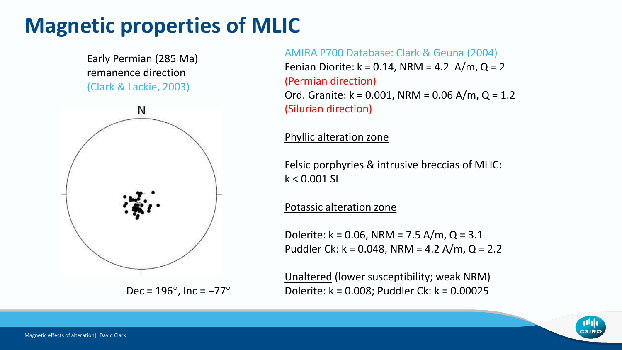### **Magnetic properties of MLIC**

Early Permian (285 Ma) remanence direction (Clark & Lackie, 2003)



AMIRA P700 Database: Clark & Geuna (2004) Fenian Diorite:  $k = 0.14$ , NRM = 4.2 A/m, Q = 2 (Permian direction) Ord. Granite:  $k = 0.001$ , NRM = 0.06 A/m, Q = 1.2

(Silurian direction)

#### Phyllic alteration zone

Felsic porphyries & intrusive breccias of MLIC:  $k < 0.001$  SI

#### Potassic alteration zone

Dolerite: k = 0.06, NRM = 7.5 A/m, Q = 3.1 Puddler Ck: k = 0.048, NRM = 4.2 A/m, Q = 2.2

Unaltered (lower susceptibility; weak NRM) Dec =  $196^{\circ}$ , Inc =  $+77^{\circ}$  Dolerite: k = 0.008; Puddler Ck: k = 0.00025

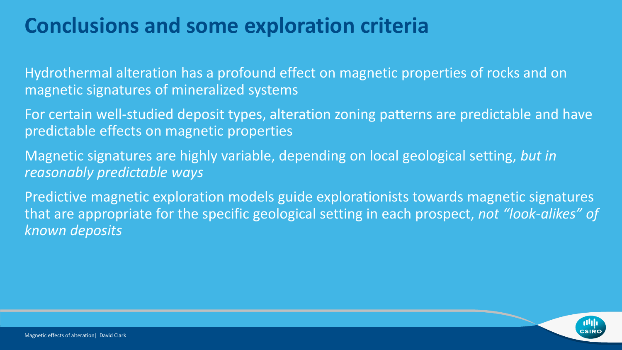### **Conclusions and some exploration criteria**

Hydrothermal alteration has a profound effect on magnetic properties of rocks and on magnetic signatures of mineralized systems

For certain well-studied deposit types, alteration zoning patterns are predictable and have predictable effects on magnetic properties

Magnetic signatures are highly variable, depending on local geological setting, *but in reasonably predictable ways*

Predictive magnetic exploration models guide explorationists towards magnetic signatures that are appropriate for the specific geological setting in each prospect, *not "look-alikes" of known deposits*

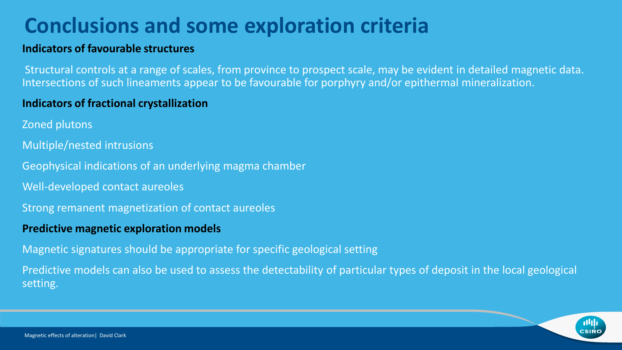### **Conclusions and some exploration criteria**

#### **Indicators of favourable structures**

Structural controls at a range of scales, from province to prospect scale, may be evident in detailed magnetic data. Intersections of such lineaments appear to be favourable for porphyry and/or epithermal mineralization.

#### **Indicators of fractional crystallization**

- Zoned plutons
- Multiple/nested intrusions

Geophysical indications of an underlying magma chamber

- Well-developed contact aureoles
- Strong remanent magnetization of contact aureoles

#### **Predictive magnetic exploration models**

Magnetic signatures should be appropriate for specific geological setting

Predictive models can also be used to assess the detectability of particular types of deposit in the local geological setting.

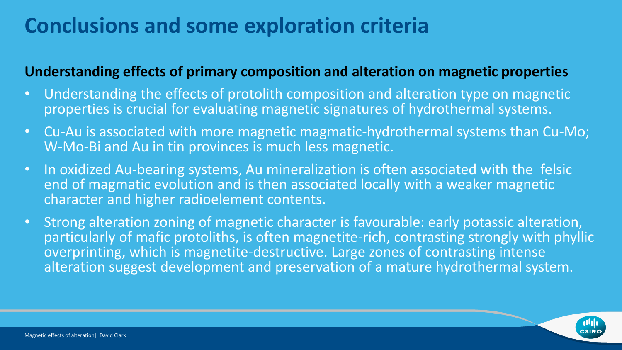### **Conclusions and some exploration criteria**

### **Understanding effects of primary composition and alteration on magnetic properties**

- Understanding the effects of protolith composition and alteration type on magnetic properties is crucial for evaluating magnetic signatures of hydrothermal systems.
- Cu-Au is associated with more magnetic magmatic-hydrothermal systems than Cu-Mo; W-Mo-Bi and Au in tin provinces is much less magnetic.
- In oxidized Au-bearing systems, Au mineralization is often associated with the felsic end of magmatic evolution and is then associated locally with a weaker magnetic character and higher radioelement contents.
- Strong alteration zoning of magnetic character is favourable: early potassic alteration, particularly of mafic protoliths, is often magnetite-rich, contrasting strongly with phyllic overprinting, which is magnetite-destructive. Large zones of contrasting intense alteration suggest development and preservation of a mature hydrothermal system.